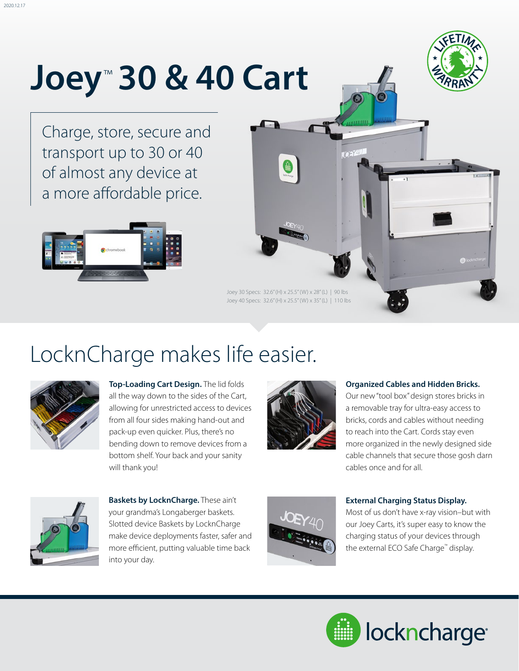# **Joey**™  **30 & 40 Cart**



Charge, store, secure and transport up to 30 or 40 of almost any device at a more affordable price.





### LocknCharge makes life easier.



**Top-Loading Cart Design.** The lid folds all the way down to the sides of the Cart, allowing for unrestricted access to devices from all four sides making hand-out and pack-up even quicker. Plus, there's no bending down to remove devices from a bottom shelf. Your back and your sanity will thank you!



#### **Organized Cables and Hidden Bricks.**

Our new "tool box" design stores bricks in a removable tray for ultra-easy access to bricks, cords and cables without needing to reach into the Cart. Cords stay even more organized in the newly designed side cable channels that secure those gosh darn cables once and for all.



**Baskets by LocknCharge.** These ain't your grandma's Longaberger baskets. Slotted device Baskets by LocknCharge make device deployments faster, safer and more efficient, putting valuable time back into your day.



#### **External Charging Status Display.**

Most of us don't have x-ray vision–but with our Joey Carts, it's super easy to know the charging status of your devices through the external ECO Safe Charge™ display.